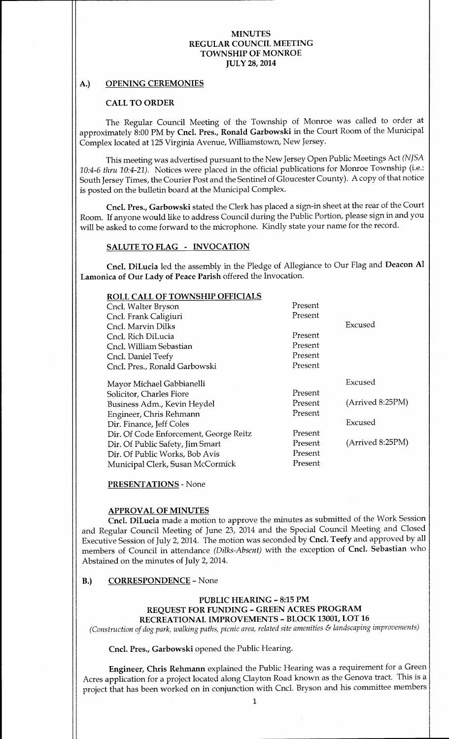# A.) OPENING CEREMONIES

### CALL TO ORDER

The Regular Council Meeting of the Township of Monroe was called to order at approximately 8:00 PM by Cncl. Pres., Ronald Garbowski in the Court Room of the Municipal Complex located at 125 Virginia Avenue, Williamstown, New Jersey.

This meeting was advertised pursuant to the New Jersey Open Public Meetings Act (NJSA 10:4-6 thru 10:4-21). Notices were placed in the official publications for Monroe Township (i.e.: South Jersey Times, the Courier Post and the Sentinel of Gloucester County). A copy of that notice is posted on the bulletin board at the Municipal Complex.

Cncl. Pres., Garbowski stated the Clerk has placed <sup>a</sup> sign-in sheet at the rear of the Court Room. If anyone would like to address Council during the Public Portion, please sign in and you will be asked to come forward to the microphone. Kindly state your name for the record.

#### SALUTE TO FLAG - INVOCATION

Cncl. DiLucia led the assembly in the Pledge of Allegiance to Our Flag and Deacon Al Lamonica of Our Lady of Peace Parish offered the Invocation.

| <b>ROLL CALL OF TOWNSHIP OFFICIALS</b> |         |                  |
|----------------------------------------|---------|------------------|
| Cncl. Walter Bryson                    | Present |                  |
| Cncl. Frank Caligiuri                  | Present |                  |
| Cncl. Marvin Dilks                     |         | Excused          |
| Cncl. Rich DiLucia                     | Present |                  |
| Cncl. William Sebastian                | Present |                  |
| Cncl. Daniel Teefy                     | Present |                  |
| Cncl. Pres., Ronald Garbowski          | Present |                  |
| Mayor Michael Gabbianelli              |         | Excused          |
| Solicitor, Charles Fiore               | Present |                  |
| Business Adm., Kevin Heydel            | Present | (Arrived 8:25PM) |
| Engineer, Chris Rehmann                | Present |                  |
| Dir. Finance, Jeff Coles               |         | Excused          |
| Dir. Of Code Enforcement, George Reitz | Present |                  |
| Dir. Of Public Safety, Jim Smart       | Present | (Arrived 8:25PM) |
| Dir. Of Public Works, Bob Avis         | Present |                  |
| Municipal Clerk, Susan McCormick       | Present |                  |

PRESENTATIONS- None

### APPROVAL OF MINUTES

Cncl. DiLucia made <sup>a</sup> motion to approve the minutes as submitted of the Work Session and Regular Council Meeting of June 23, 2014 and the Special Council Meeting and Closed Executive Session of July 2, 2014. The motion was seconded by Cncl. Teefy and approved by all members of Council in attendance (Dilks-Absent) with the exception of Cncl. Sebastian who Abstained on the minutes of July 2, 2014.

### B.) CORRESPONDENCE- None

### PUBLIC HEARING - 8:15 PM REQUEST FOR FUNDING- GREEN ACRES PROGRAM RECREATIONAL IMPROVEMENTS - BLOCK 13001, LOT 16

Construction of dog park, walking paths, picnic area, related site amenities & landscaping improvements)

Cncl. Pres., Garbowski opened the Public Hearing.

Engineer, Chris Rehmann explained the Public Hearing was a requirement for <sup>a</sup> Green Acres application for a project located along Clayton Road known as the Genova tract. This is a project that has been worked on in conjunction with Cncl. Bryson and his committee members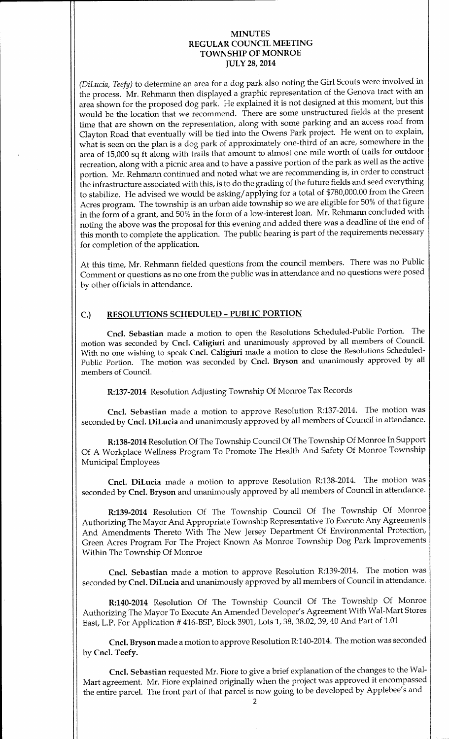DiLucia, Teefy) to determine an area for <sup>a</sup> dog park also noting the Girl Scouts were involved in the process. Mr. Rehmann then displayed a graphic representation of the Genova tract with an area shown for the proposed dog park. He explained it is not designed at this moment, but this would be the location that we recommend. There are some unstructured fields at the present time that are shown on the representation, along with some parking and an access road from Clayton Road that eventually will be tied into the Owens Park project. He went on to explain, what is seen on the plan is <sup>a</sup> dog park of approximately one-third of an acre, somewhere in the area of 15,000 sq ft along with trails that amount to almost one mile worth of trails for outdoor recreation, along with a picnic area and to have a passive portion of the park as well as the active portion. Mr. Rehmann continued and noted what we are recommending is, in order to construct the infrastructure associated with this, is to do the grading of the future fields and seed everything to stabilize. He advised we would be asking/applying for a total of \$780,000.00 from the Green Acres program. The township is an urban aide township so we are eligible for 50% of that figure in the form of <sup>a</sup> grant, and 50% in the form of <sup>a</sup> low-interest loan. Mr. Rehmann concluded with noting the above was the proposal for this evening and added there was <sup>a</sup> deadline of the end of this month to complete the application. The public hearing is part of the requirements necessary for completion of the application.

At this time, Mr. Rehmann fielded questions from the council members. There was no Public Comment or questions as no one from the public was in attendance and no questions were posed by other officials in attendance.

# C.) RESOLUTIONS SCHEDULED- PUBLIC PORTION

Cncl. Sebastian made <sup>a</sup> motion to open the Resolutions Scheduled-Public Portion. The motion was seconded by Cncl. Caligiuri and unanimously approved by all members of Council. With no one wishing to speak Cncl. Caligiuri made <sup>a</sup> motion to close the Resolutions Scheduled-Public Portion. The motion was seconded by Cncl. Bryson and unanimously approved by all members of Council.

R:137-2014 Resolution Adjusting Township Of Monroe Tax Records

Cncl. Sebastian made <sup>a</sup> motion to approve Resolution R:137-2014. The motion was seconded by Cncl. DiLucia and unanimously approved by all members of Council in attendance.

R:138- 2014 Resolution Of The Township Council Of The Township Of Monroe In Support Of A Workplace Wellness Program To Promote The Health And Safety Of Monroe Township Municipal Employees

Cncl. DiLucia made <sup>a</sup> motion to approve Resolution R:138-2014. The motion was seconded by Cncl. Bryson and unanimously approved by all members of Council in attendance.

R:139-2014 Resolution Of The Township Council Of The Township Of Monroe Authorizing The Mayor And Appropriate Township Representative To Execute Any Agreements And Amendments Thereto With The New Jersey Department Of Environmental Protection, Green Acres Program For The Project Known As Monroe Township Dog Park Improvements Within The Township Of Monroe

Cncl. Sebastian made <sup>a</sup> motion to approve Resolution R:139-2014. The motion was seconded by Cncl. DiLucia and unanimously approved by all members of Council in attendance.

R:140-2014 Resolution Of The Township Council Of The Township Of Monroe Authorizing The Mayor To Execute An Amended Developer' <sup>s</sup> Agreement With Wal-Mart Stores East, L.P. For Application # 416-BSP, Block 3901, Lots 1, 38, 38.02, 39, 40 And Part of 1.01

Cncl. Bryson made a motion to approve Resolution R:140-2014. The motion was seconded by Cncl. Teefy.

Cncl. Sebastian requested Mr. Fiore to give <sup>a</sup> brief explanation of the changes to the Wal-Mart agreement. Mr. Fiore explained originally when the project was approved it encompassed the entire parcel. The front part of that parcel is now going to be developed by Applebee' <sup>s</sup> and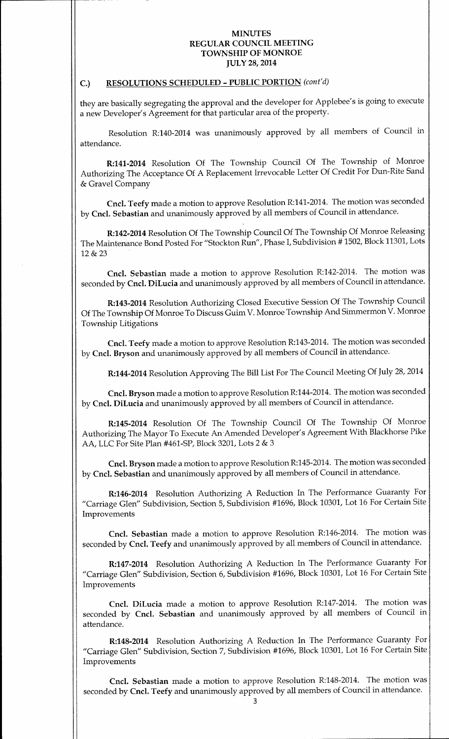# C.) RESOLUTIONS SCHEDULED - PUBLIC PORTION (cont'd)

they are basically segregating the approval and the developer for Applebee's is going to execute a new Developer's Agreement for that particular area of the property.

Resolution R:140-2014 was unanimously approved by all members of Council in attendance.

R:141-2014 Resolution Of The Township Council Of The Township of Monroe Authorizing The Acceptance Of A Replacement Irrevocable Letter Of Credit For Dun-Rite Sand Gravel Company

Cncl. Teefy made a motion to approve Resolution R:141- 2014. The motion was seconded by Cncl. Sebastian and unanimously approved by all members of Council in attendance.

R:142-2014 Resolution Of The Township Council Of The Township Of Monroe Releasing The Maintenance Bond Posted For "Stockton Run", Phase I, Subdivision # 1502, Block 11301, Lots 12& 23

Cncl. Sebastian made <sup>a</sup> motion to approve Resolution R:142-2014. The motion was seconded by Cncl. DiLucia and unanimously approved by all members of Council in attendance.

R:143-2014 Resolution Authorizing Closed Executive Session Of The Township Council Of The Township Of Monroe To Discuss Guim V. Monroe Township And Simmermon V. Monroe Township Litigations

Cncl. Teefy made a motion to approve Resolution R:143- 2014. The motion was seconded by Cncl. Bryson and unanimously approved by all members of Council in attendance.

R:144-2014 Resolution Approving The Bill List For The Council Meeting Of July 28, 2014

Cncl. Bryson made a motion to approve Resolution R: 144- 2014. The motion was seconded by Cncl. DiLucia and unanimously approved by all members of Council in attendance.

R:145-2014 Resolution Of The Township Council Of The Township Of Monroe Authorizing The Mayor To Execute An Amended Developer' <sup>s</sup> Agreement With Blackhorse Pike AA, LLC For Site Plan #461-SP, Block 3201, Lots 2 & 3

Cncl. Bryson made a motion to approve Resolution R:145- 2014. The motion was seconded by Cncl. Sebastian and unanimously approved by all members of Council in attendance.

R:146-2014 Resolution Authorizing A Reduction In The Performance Guaranty For Carriage Glen" Subdivision, Section 5, Subdivision #1696, Block 10301, Lot 16 For Certain Site Improvements

Cncl. Sebastian made <sup>a</sup> motion to approve Resolution R:146-2014. The motion was seconded by Cncl. Teefy and unanimously approved by all members of Council in attendance.

R:147-2014 Resolution Authorizing A Reduction In The Performance Guaranty For Carriage Glen" Subdivision, Section 6, Subdivision #1696, Block 10301, Lot 16 For Certain Site Improvements

Cncl. DiLucia made <sup>a</sup> motion to approve Resolution R:147-2014. The motion was seconded by Cncl. Sebastian and unanimously approved by all members of Council in attendance.

R:148-2014 Resolution Authorizing A Reduction In The Performance Guaranty For Carriage Glen" Subdivision, Section 7, Subdivision #1696, Block 10301, Lot 16 For Certain Site Improvements

Cncl. Sebastian made <sup>a</sup> motion to approve Resolution R:148-2014. The motion was seconded by Cncl. Teefy and unanimously approved by all members of Council in attendance.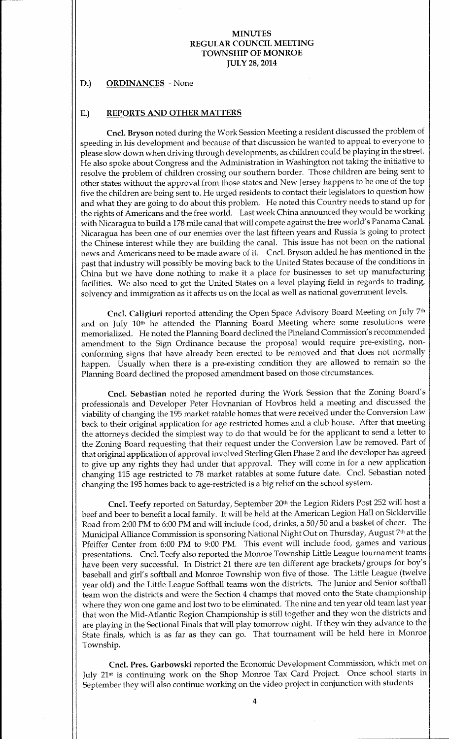#### D.) ORDINANCES - None

#### E.) REPORTS AND OTHER MATTERS

Cncl. Bryson noted during the Work Session Meeting <sup>a</sup> resident discussed the problem of speeding in his development and because of that discussion he wanted to appeal to everyone to please slow down when driving through developments, as children could be playing in the street. He also spoke about Congress and the Administration in Washington not taking the initiative to resolve the problem of children crossing our southern border. Those children are being sent to other states without the approval from those states and New Jersey happens to be one of the top five the children are being sent to. He urged residents to contact their legislators to question how and what they are going to do about this problem. He noted this Country needs to stand up for the rights of Americans and the free world. Last week China announced they would be working with Nicaragua to build a 178 mile canal that will compete against the free world's Panama Canal. Nicaragua has been one of our enemies over the last fifteen years and Russia is going to protect the Chinese interest while they are building the canal. This issue has not been on the national news and Americans need to be made aware of it. Cncl. Bryson added he has mentioned in the past that industry will possibly be moving back to the United States because of the conditions in China but we have done nothing to make it <sup>a</sup> place for businesses to set up manufacturing facilities. We also need to get the United States on <sup>a</sup> level playing field in regards to trading, solvency and immigration as it affects us on the local as well as national government levels.

Cncl. Caligiuri reported attending the Open Space Advisory Board Meeting on July 7th and on July 10<sup>th</sup> he attended the Planning Board Meeting where some resolutions were memorialized. He noted the Planning Board declined the Pineland Commission's recommended amendment to the Sign Ordinance because the proposal would require pre-existing, nonconforming signs that have already been erected to be removed and that does not normally happen. Usually when there is <sup>a</sup> pre-existing condition they are allowed to remain so the Planning Board declined the proposed amendment based on those circumstances.

Cncl. Sebastian noted he reported during the Work Session that the Zoning Board' <sup>s</sup> professionals and Developer Peter Hovnanian of Hovbros held a meeting and discussed the viability of changing the 195 market ratable homes that were received under the Conversion Law back to their original application for age restricted homes and a club house. After that meeting the attorneys decided the simplest way to do that would be for the applicant to send <sup>a</sup> letter to the Zoning Board requesting that their request under the Conversion Law be removed. Part of that original application of approval involved Sterling Glen Phase 2 and the developer has agreed to give up any rights they had under that approval. They will come in for <sup>a</sup> new application changing <sup>115</sup> age restricted to <sup>78</sup> market ratables at some future date. Cncl. Sebastian noted changing the 195 homes back to age-restricted is a big relief on the school system.

Cncl. Teefy reported on Saturday, September 20th the Legion Riders Post 252 will host <sup>a</sup> beef and beer to benefit <sup>a</sup> local family. It will be held at the American Legion Hall on Sicklerville Road from 2:00 PM to 6:00 PM and will include food, drinks, a 50/50 and a basket of cheer. The Municipal Alliance Commission is sponsoring National Night Out on Thursday, August 7th at the Pfeiffer Center from 6:00 PM to 9:00 PM. This event will include food, games and various presentations. Cncl. Teefy also reported the Monroe Township Little League tournament teams have been very successful. In District 21 there are ten different age brackets/groups for boy's baseball and girl's softball and Monroe Township won five of those. The Little League (twelve year old) and the Little League Softball teams won the districts. The Junior and Senior softball team won the districts and were the Section 4 champs that moved onto the State championship where they won one game and lost two to be eliminated. The nine and ten year old team last year <sup>1</sup> that won the Mid-Atlantic Region Championship is still together and they won the districts and are playing in the Sectional Finals that will play tomorrow night. If they win they advance to the State finals, which is as far as they can go. That tournament will be held here in Monroe Township.

Cncl. Pres. Garbowski reported the Economic Development Commission, which met on July 21st is continuing work on the Shop Monroe Tax Card Project. Once school starts in September they will also continue working on the video project in conjunction with students